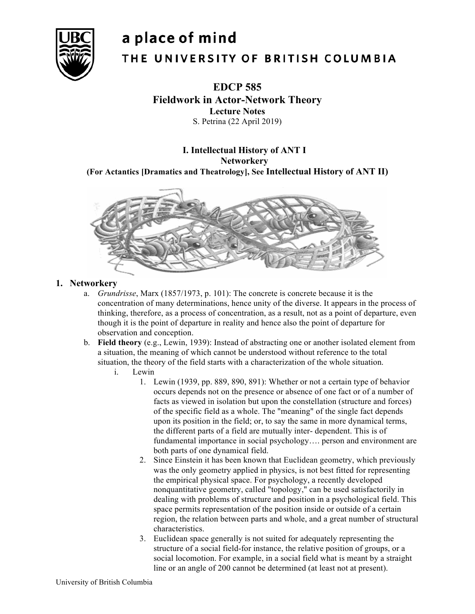

# a place of mind

# THE UNIVERSITY OF BRITISH COLUMBIA

**EDCP 585 Fieldwork in Actor-Network Theory Lecture Notes** S. Petrina (22 April 2019)

## **I. Intellectual History of ANT I Networkery (For Actantics [Dramatics and Theatrology], See Intellectual History of ANT II)**



## **1. Networkery**

- a. *Grundrisse*, Marx (1857/1973, p. 101): The concrete is concrete because it is the concentration of many determinations, hence unity of the diverse. It appears in the process of thinking, therefore, as a process of concentration, as a result, not as a point of departure, even though it is the point of departure in reality and hence also the point of departure for observation and conception.
- b. **Field theory** (e.g., Lewin, 1939): Instead of abstracting one or another isolated element from a situation, the meaning of which cannot be understood without reference to the total situation, the theory of the field starts with a characterization of the whole situation.
	- i. Lewin
		- 1. Lewin (1939, pp. 889, 890, 891): Whether or not a certain type of behavior occurs depends not on the presence or absence of one fact or of a number of facts as viewed in isolation but upon the constellation (structure and forces) of the specific field as a whole. The "meaning" of the single fact depends upon its position in the field; or, to say the same in more dynamical terms, the different parts of a field are mutually inter- dependent. This is of fundamental importance in social psychology…. person and environment are both parts of one dynamical field.
		- 2. Since Einstein it has been known that Euclidean geometry, which previously was the only geometry applied in physics, is not best fitted for representing the empirical physical space. For psychology, a recently developed nonquantitative geometry, called "topology," can be used satisfactorily in dealing with problems of structure and position in a psychological field. This space permits representation of the position inside or outside of a certain region, the relation between parts and whole, and a great number of structural characteristics.
		- 3. Euclidean space generally is not suited for adequately representing the structure of a social field-for instance, the relative position of groups, or a social locomotion. For example, in a social field what is meant by a straight line or an angle of 200 cannot be determined (at least not at present).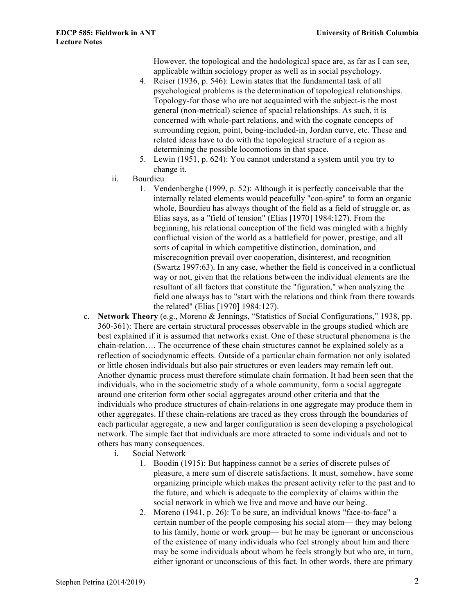However, the topological and the hodological space are, as far as I can see, applicable within sociology proper as well as in social psychology.

- 4. Reiser (1936, p. 546): Lewin states that the fundamental task of all psychological problems is the determination of topological relationships. Topology-for those who are not acquainted with the subject-is the most general (non-metrical) science of spacial relationships. As such, it is concerned with whole-part relations, and with the cognate concepts of surrounding region, point, being-included-in, Jordan curve, etc. These and related ideas have to do with the topological structure of a region as determining the possible locomotions in that space.
- 5. Lewin (1951, p. 624): You cannot understand a system until you try to change it.
- ii. Bourdieu
	- 1. Vendenberghe (1999, p. 52): Although it is perfectly conceivable that the internally related elements would peacefully "con-spire" to form an organic whole, Bourdieu has always thought of the field as a field of struggle or, as Elias says, as a "field of tension" (Elias [1970] 1984:127). From the beginning, his relational conception of the field was mingled with a highly conflictual vision of the world as a battlefield for power, prestige, and all sorts of capital in which competitive distinction, domination, and miscrecognition prevail over cooperation, disinterest, and recognition (Swartz 1997:63). In any case, whether the field is conceived in a conflictual way or not, given that the relations between the individual elements are the resultant of all factors that constitute the "figuration," when analyzing the field one always has to "start with the relations and think from there towards the related" (Elias [1970] 1984:127).
- c. **Network Theory** (e.g., Moreno & Jennings, "Statistics of Social Configurations," 1938, pp. 360-361): There are certain structural processes observable in the groups studied which are best explained if it is assumed that networks exist. One of these structural phenomena is the chain-relation…. The occurrence of these chain structures cannot be explained solely as a reflection of sociodynamic effects. Outside of a particular chain formation not only isolated or little chosen individuals but also pair structures or even leaders may remain left out. Another dynamic process must therefore stimulate chain formation. It had been seen that the individuals, who in the sociometric study of a whole community, form a social aggregate around one criterion form other social aggregates around other criteria and that the individuals who produce structures of chain-relations in one aggregate may produce them in other aggregates. If these chain-relations are traced as they cross through the boundaries of each particular aggregate, a new and larger configuration is seen developing a psychological network. The simple fact that individuals are more attracted to some individuals and not to others has many consequences.
	- i. Social Network
		- 1. Boodin (1915): But happiness cannot be a series of discrete pulses of pleasure, a mere sum of discrete satisfactions. It must, somehow, have some organizing principle which makes the present activity refer to the past and to the future, and which is adequate to the complexity of claims within the social network in which we live and move and have our being.
		- 2. Moreno (1941, p. 26): To be sure, an individual knows "face-to-face" a certain number of the people composing his social atom— they may belong to his family, home or work group— but he may be ignorant or unconscious of the existence of many individuals who feel strongly about him and there may be some individuals about whom he feels strongly but who are, in turn, either ignorant or unconscious of this fact. In other words, there are primary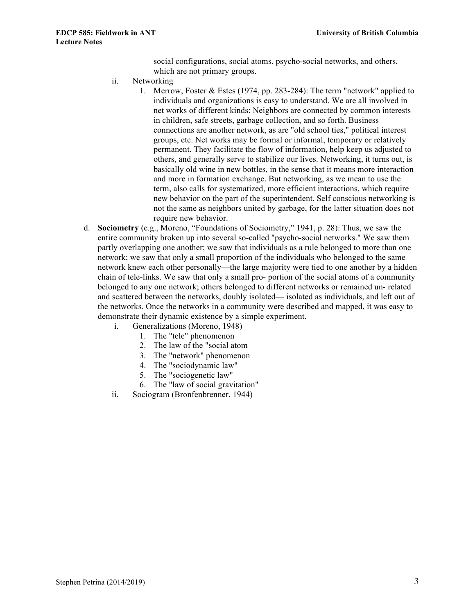social configurations, social atoms, psycho-social networks, and others, which are not primary groups.

- ii. Networking
	- 1. Merrow, Foster & Estes (1974, pp. 283-284): The term "network" applied to individuals and organizations is easy to understand. We are all involved in net works of different kinds: Neighbors are connected by common interests in children, safe streets, garbage collection, and so forth. Business connections are another network, as are "old school ties," political interest groups, etc. Net works may be formal or informal, temporary or relatively permanent. They facilitate the flow of information, help keep us adjusted to others, and generally serve to stabilize our lives. Networking, it turns out, is basically old wine in new bottles, in the sense that it means more interaction and more in formation exchange. But networking, as we mean to use the term, also calls for systematized, more efficient interactions, which require new behavior on the part of the superintendent. Self conscious networking is not the same as neighbors united by garbage, for the latter situation does not require new behavior.
- d. **Sociometry** (e.g., Moreno, "Foundations of Sociometry," 1941, p. 28): Thus, we saw the entire community broken up into several so-called "psycho-social networks." We saw them partly overlapping one another; we saw that individuals as a rule belonged to more than one network; we saw that only a small proportion of the individuals who belonged to the same network knew each other personally—the large majority were tied to one another by a hidden chain of tele-links. We saw that only a small pro- portion of the social atoms of a community belonged to any one network; others belonged to different networks or remained un- related and scattered between the networks, doubly isolated— isolated as individuals, and left out of the networks. Once the networks in a community were described and mapped, it was easy to demonstrate their dynamic existence by a simple experiment.
	- i. Generalizations (Moreno, 1948)
		- 1. The "tele" phenomenon
		- 2. The law of the "social atom
		- 3. The "network" phenomenon
		- 4. The "sociodynamic law"
		- 5. The "sociogenetic law"
		- 6. The "law of social gravitation"
	- ii. Sociogram (Bronfenbrenner, 1944)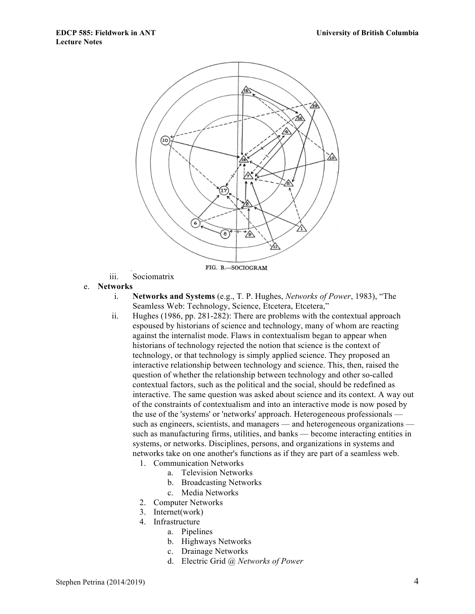

- iii. Sociomatrix
- e. **Networks**
	- i. **Networks and Systems** (e.g., T. P. Hughes, *Networks of Power*, 1983), "The Seamless Web: Technology, Science, Etcetera, Etcetera,"
	- ii. Hughes (1986, pp. 281-282): There are problems with the contextual approach espoused by historians of science and technology, many of whom are reacting against the internalist mode. Flaws in contextualism began to appear when historians of technology rejected the notion that science is the context of technology, or that technology is simply applied science. They proposed an interactive relationship between technology and science. This, then, raised the question of whether the relationship between technology and other so-called contextual factors, such as the political and the social, should be redefined as interactive. The same question was asked about science and its context. A way out of the constraints of contextualism and into an interactive mode is now posed by the use of the 'systems' or 'networks' approach. Heterogeneous professionals such as engineers, scientists, and managers — and heterogeneous organizations such as manufacturing firms, utilities, and banks — become interacting entities in systems, or networks. Disciplines, persons, and organizations in systems and networks take on one another's functions as if they are part of a seamless web.
		- 1. Communication Networks
			- a. Television Networks
			- b. Broadcasting Networks
			- c. Media Networks
		- 2. Computer Networks
		- 3. Internet(work)
		- 4. Infrastructure
			- a. Pipelines
			- b. Highways Networks
			- c. Drainage Networks
			- d. Electric Grid @ *Networks of Power*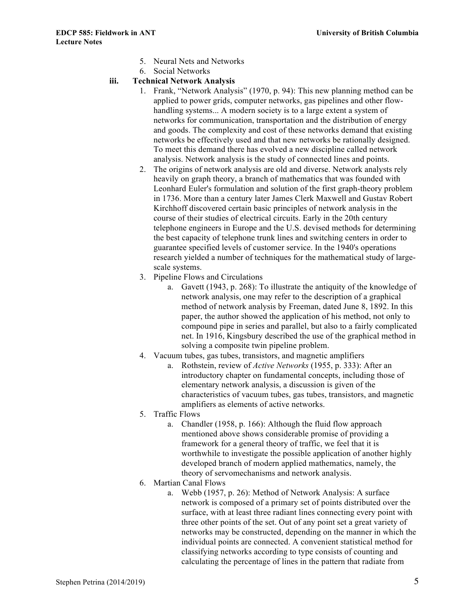- 5. Neural Nets and Networks
- 6. Social Networks
- **iii. Technical Network Analysis**
	- 1. Frank, "Network Analysis" (1970, p. 94): This new planning method can be applied to power grids, computer networks, gas pipelines and other flowhandling systems... A modern society is to a large extent a system of networks for communication, transportation and the distribution of energy and goods. The complexity and cost of these networks demand that existing networks be effectively used and that new networks be rationally designed. To meet this demand there has evolved a new discipline called network analysis. Network analysis is the study of connected lines and points.
	- 2. The origins of network analysis are old and diverse. Network analysts rely heavily on graph theory, a branch of mathematics that was founded with Leonhard Euler's formulation and solution of the first graph-theory problem in 1736. More than a century later James Clerk Maxwell and Gustav Robert Kirchhoff discovered certain basic principles of network analysis in the course of their studies of electrical circuits. Early in the 20th century telephone engineers in Europe and the U.S. devised methods for determining the best capacity of telephone trunk lines and switching centers in order to guarantee specified levels of customer service. In the 1940's operations research yielded a number of techniques for the mathematical study of largescale systems.
	- 3. Pipeline Flows and Circulations
		- a. Gavett (1943, p. 268): To illustrate the antiquity of the knowledge of network analysis, one may refer to the description of a graphical method of network analysis by Freeman, dated June 8, 1892. In this paper, the author showed the application of his method, not only to compound pipe in series and parallel, but also to a fairly complicated net. In 1916, Kingsbury described the use of the graphical method in solving a composite twin pipeline problem.
	- 4. Vacuum tubes, gas tubes, transistors, and magnetic amplifiers
		- a. Rothstein, review of *Active Networks* (1955, p. 333): After an introductory chapter on fundamental concepts, including those of elementary network analysis, a discussion is given of the characteristics of vacuum tubes, gas tubes, transistors, and magnetic amplifiers as elements of active networks.
	- 5. Traffic Flows
		- a. Chandler (1958, p. 166): Although the fluid flow approach mentioned above shows considerable promise of providing a framework for a general theory of traffic, we feel that it is worthwhile to investigate the possible application of another highly developed branch of modern applied mathematics, namely, the theory of servomechanisms and network analysis.
	- 6. Martian Canal Flows
		- a. Webb (1957, p. 26): Method of Network Analysis: A surface network is composed of a primary set of points distributed over the surface, with at least three radiant lines connecting every point with three other points of the set. Out of any point set a great variety of networks may be constructed, depending on the manner in which the individual points are connected. A convenient statistical method for classifying networks according to type consists of counting and calculating the percentage of lines in the pattern that radiate from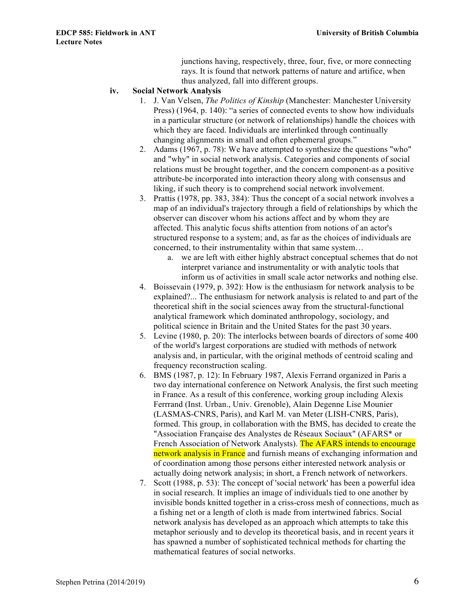junctions having, respectively, three, four, five, or more connecting rays. It is found that network patterns of nature and artifice, when thus analyzed, fall into different groups.

#### **iv. Social Network Analysis**

- 1. J. Van Velsen, *The Politics of Kinship* (Manchester: Manchester University Press) (1964, p. 140): "a series of connected events to show how individuals in a particular structure (or network of relationships) handle the choices with which they are faced. Individuals are interlinked through continually changing alignments in small and often ephemeral groups."
- 2. Adams (1967, p. 78): We have attempted to synthesize the questions "who" and "why" in social network analysis. Categories and components of social relations must be brought together, and the concern component-as a positive attribute-be incorporated into interaction theory along with consensus and liking, if such theory is to comprehend social network involvement.
- 3. Prattis (1978, pp. 383, 384): Thus the concept of a social network involves a map of an individual's trajectory through a field of relationships by which the observer can discover whom his actions affect and by whom they are affected. This analytic focus shifts attention from notions of an actor's structured response to a system; and, as far as the choices of individuals are concerned, to their instrumentality within that same system…
	- a. we are left with either highly abstract conceptual schemes that do not interpret variance and instrumentality or with analytic tools that inform us of activities in small scale actor networks and nothing else.
- 4. Boissevain (1979, p. 392): How is the enthusiasm for network analysis to be explained?... The enthusiasm for network analysis is related to and part of the theoretical shift in the social sciences away from the structural-functional analytical framework which dominated anthropology, sociology, and political science in Britain and the United States for the past 30 years.
- 5. Levine (1980, p. 20): The interlocks between boards of directors of some 400 of the world's largest corporations are studied with methods of network analysis and, in particular, with the original methods of centroid scaling and frequency reconstruction scaling.
- 6. BMS (1987, p. 12): In February 1987, Alexis Ferrand organized in Paris a two day international conference on Network Analysis, the first such meeting in France. As a result of this conference, working group including Alexis Ferrrand (Inst. Urban., Univ. Grenoble), Alain Degenne Lise Mounier (LASMAS-CNRS, Paris), and Karl M. van Meter (LISH-CNRS, Paris), formed. This group, in collaboration with the BMS, has decided to create the "Association Française des Analystes de Réseaux Sociaux" (AFARS\* or French Association of Network Analysts). The AFARS intends to encourage network analysis in France and furnish means of exchanging information and of coordination among those persons either interested network analysis or actually doing network analysis; in short, a French network of networkers.
- 7. Scott (1988, p. 53): The concept of 'social network' has been a powerful idea in social research. It implies an image of individuals tied to one another by invisible bonds knitted together in a criss-cross mesh of connections, much as a fishing net or a length of cloth is made from intertwined fabrics. Social network analysis has developed as an approach which attempts to take this metaphor seriously and to develop its theoretical basis, and in recent years it has spawned a number of sophisticated technical methods for charting the mathematical features of social networks.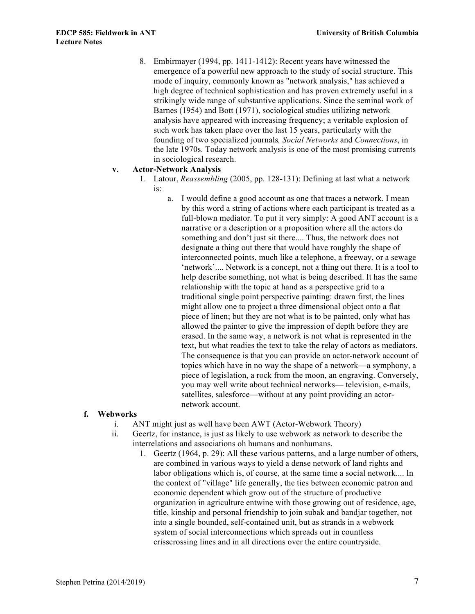8. Embirmayer (1994, pp. 1411-1412): Recent years have witnessed the emergence of a powerful new approach to the study of social structure. This mode of inquiry, commonly known as "network analysis," has achieved a high degree of technical sophistication and has proven extremely useful in a strikingly wide range of substantive applications. Since the seminal work of Barnes (1954) and Bott (1971), sociological studies utilizing network analysis have appeared with increasing frequency; a veritable explosion of such work has taken place over the last 15 years, particularly with the founding of two specialized journals*, Social Networks* and *Connections*, in the late 1970s. Today network analysis is one of the most promising currents in sociological research.

#### **v. Actor-Network Analysis**

- 1. Latour, *Reassembling* (2005, pp. 128-131): Defining at last what a network is:
	- a. I would define a good account as one that traces a network. I mean by this word a string of actions where each participant is treated as a full-blown mediator. To put it very simply: A good ANT account is a narrative or a description or a proposition where all the actors do something and don't just sit there.... Thus, the network does not designate a thing out there that would have roughly the shape of interconnected points, much like a telephone, a freeway, or a sewage 'network'.... Network is a concept, not a thing out there. It is a tool to help describe something, not what is being described. It has the same relationship with the topic at hand as a perspective grid to a traditional single point perspective painting: drawn first, the lines might allow one to project a three dimensional object onto a flat piece of linen; but they are not what is to be painted, only what has allowed the painter to give the impression of depth before they are erased. In the same way, a network is not what is represented in the text, but what readies the text to take the relay of actors as mediators. The consequence is that you can provide an actor-network account of topics which have in no way the shape of a network—a symphony, a piece of legislation, a rock from the moon, an engraving. Conversely, you may well write about technical networks— television, e-mails, satellites, salesforce—without at any point providing an actornetwork account.

#### **f. Webworks**

- i. ANT might just as well have been AWT (Actor-Webwork Theory)
- ii. Geertz, for instance, is just as likely to use webwork as network to describe the interrelations and associations oh humans and nonhumans.
	- 1. Geertz (1964, p. 29): All these various patterns, and a large number of others, are combined in various ways to yield a dense network of land rights and labor obligations which is, of course, at the same time a social network.... In the context of "village" life generally, the ties between economic patron and economic dependent which grow out of the structure of productive organization in agriculture entwine with those growing out of residence, age, title, kinship and personal friendship to join subak and bandjar together, not into a single bounded, self-contained unit, but as strands in a webwork system of social interconnections which spreads out in countless crisscrossing lines and in all directions over the entire countryside.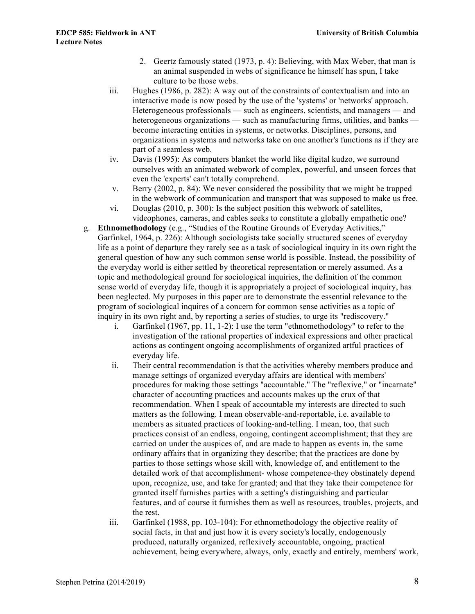- 2. Geertz famously stated (1973, p. 4): Believing, with Max Weber, that man is an animal suspended in webs of significance he himself has spun, I take culture to be those webs.
- iii. Hughes (1986, p. 282): A way out of the constraints of contextualism and into an interactive mode is now posed by the use of the 'systems' or 'networks' approach. Heterogeneous professionals — such as engineers, scientists, and managers — and heterogeneous organizations — such as manufacturing firms, utilities, and banks become interacting entities in systems, or networks. Disciplines, persons, and organizations in systems and networks take on one another's functions as if they are part of a seamless web.
- iv. Davis (1995): As computers blanket the world like digital kudzo, we surround ourselves with an animated webwork of complex, powerful, and unseen forces that even the 'experts' can't totally comprehend.
- v. Berry (2002, p. 84): We never considered the possibility that we might be trapped in the webwork of communication and transport that was supposed to make us free.
- vi. Douglas (2010, p. 300): Is the subject position this webwork of satellites, videophones, cameras, and cables seeks to constitute a globally empathetic one?
- g. **Ethnomethodology** (e.g., "Studies of the Routine Grounds of Everyday Activities," Garfinkel, 1964, p. 226): Although sociologists take socially structured scenes of everyday life as a point of departure they rarely see as a task of sociological inquiry in its own right the general question of how any such common sense world is possible. Instead, the possibility of the everyday world is either settled by theoretical representation or merely assumed. As a topic and methodological ground for sociological inquiries, the definition of the common sense world of everyday life, though it is appropriately a project of sociological inquiry, has been neglected. My purposes in this paper are to demonstrate the essential relevance to the program of sociological inquires of a concern for common sense activities as a topic of inquiry in its own right and, by reporting a series of studies, to urge its "rediscovery."
	- i. Garfinkel (1967, pp. 11, 1-2): I use the term "ethnomethodology" to refer to the investigation of the rational properties of indexical expressions and other practical actions as contingent ongoing accomplishments of organized artful practices of everyday life.
	- ii. Their central recommendation is that the activities whereby members produce and manage settings of organized everyday affairs are identical with members' procedures for making those settings "accountable." The "reflexive," or "incarnate" character of accounting practices and accounts makes up the crux of that recommendation. When I speak of accountable my interests are directed to such matters as the following. I mean observable-and-reportable, i.e. available to members as situated practices of looking-and-telling. I mean, too, that such practices consist of an endless, ongoing, contingent accomplishment; that they are carried on under the auspices of, and are made to happen as events in, the same ordinary affairs that in organizing they describe; that the practices are done by parties to those settings whose skill with, knowledge of, and entitlement to the detailed work of that accomplishment- whose competence-they obstinately depend upon, recognize, use, and take for granted; and that they take their competence for granted itself furnishes parties with a setting's distinguishing and particular features, and of course it furnishes them as well as resources, troubles, projects, and the rest.
	- iii. Garfinkel (1988, pp. 103-104): For ethnomethodology the objective reality of social facts, in that and just how it is every society's locally, endogenously produced, naturally organized, reflexively accountable, ongoing, practical achievement, being everywhere, always, only, exactly and entirely, members' work,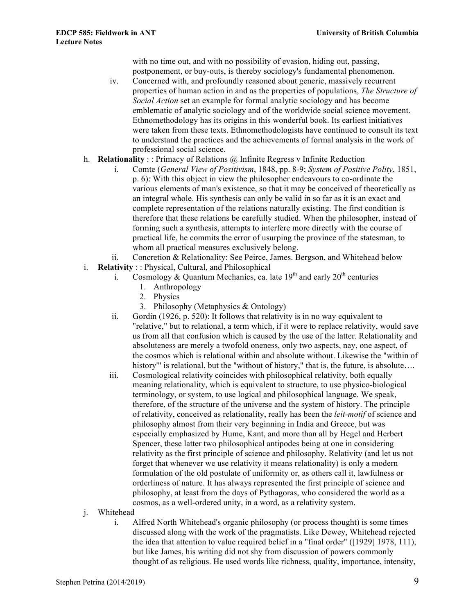with no time out, and with no possibility of evasion, hiding out, passing, postponement, or buy-outs, is thereby sociology's fundamental phenomenon.

- iv. Concerned with, and profoundly reasoned about generic, massively recurrent properties of human action in and as the properties of populations, *The Structure of Social Action* set an example for formal analytic sociology and has become emblematic of analytic sociology and of the worldwide social science movement. Ethnomethodology has its origins in this wonderful book. Its earliest initiatives were taken from these texts. Ethnomethodologists have continued to consult its text to understand the practices and the achievements of formal analysis in the work of professional social science.
- h. **Relationality** : : Primacy of Relations @ Infinite Regress v Infinite Reduction
	- i. Comte (*General View of Positivism*, 1848, pp. 8-9; *System of Positive Polity*, 1851, p. 6): With this object in view the philosopher endeavours to co-ordinate the various elements of man's existence, so that it may be conceived of theoretically as an integral whole. His synthesis can only be valid in so far as it is an exact and complete representation of the relations naturally existing. The first condition is therefore that these relations be carefully studied. When the philosopher, instead of forming such a synthesis, attempts to interfere more directly with the course of practical life, he commits the error of usurping the province of the statesman, to whom all practical measures exclusively belong.
- ii. Concretion & Relationality: See Peirce, James. Bergson, and Whitehead below i. **Relativity** : : Physical, Cultural, and Philosophical
	- i. Cosmology & Quantum Mechanics, ca. late  $19<sup>th</sup>$  and early  $20<sup>th</sup>$  centuries
		- 1. Anthropology
		- 2. Physics
		- 3. Philosophy (Metaphysics & Ontology)
		- ii. Gordin (1926, p. 520): It follows that relativity is in no way equivalent to "relative," but to relational, a term which, if it were to replace relativity, would save us from all that confusion which is caused by the use of the latter. Relationality and absoluteness are merely a twofold oneness, only two aspects, nay, one aspect, of the cosmos which is relational within and absolute without. Likewise the "within of history'" is relational, but the "without of history," that is, the future, is absolute....
		- iii. Cosmological relativity coincides with philosophical relativity, both equally meaning relationality, which is equivalent to structure, to use physico-biological terminology, or system, to use logical and philosophical language. We speak, therefore, of the structure of the universe and the system of history. The principle of relativity, conceived as relationality, really has been the *leit-motif* of science and philosophy almost from their very beginning in India and Greece, but was especially emphasized by Hume, Kant, and more than all by Hegel and Herbert Spencer, these latter two philosophical antipodes being at one in considering relativity as the first principle of science and philosophy. Relativity (and let us not forget that whenever we use relativity it means relationality) is only a modern formulation of the old postulate of uniformity or, as others call it, lawfulness or orderliness of nature. It has always represented the first principle of science and philosophy, at least from the days of Pythagoras, who considered the world as a cosmos, as a well-ordered unity, in a word, as a relativity system.
- j. Whitehead
	- i. Alfred North Whitehead's organic philosophy (or process thought) is some times discussed along with the work of the pragmatists. Like Dewey, Whitehead rejected the idea that attention to value required belief in a "final order" ([1929] 1978, 111), but like James, his writing did not shy from discussion of powers commonly thought of as religious. He used words like richness, quality, importance, intensity,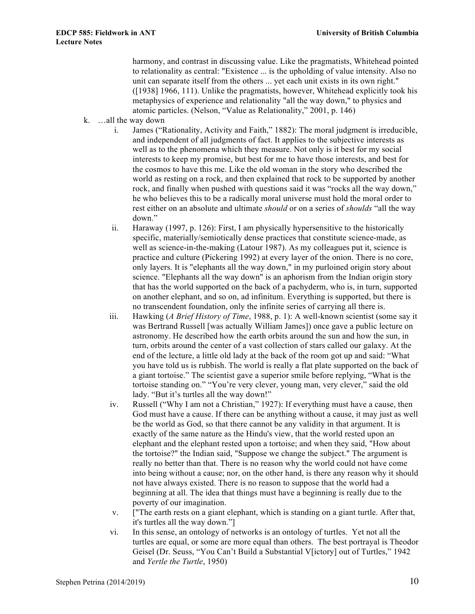harmony, and contrast in discussing value. Like the pragmatists, Whitehead pointed to relationality as central: "Existence ... is the upholding of value intensity. Also no unit can separate itself from the others ... yet each unit exists in its own right." ([1938] 1966, 111). Unlike the pragmatists, however, Whitehead explicitly took his metaphysics of experience and relationality "all the way down," to physics and atomic particles. (Nelson, "Value as Relationality," 2001, p. 146)

- k. …all the way down
	- i. James ("Rationality, Activity and Faith," 1882): The moral judgment is irreducible, and independent of all judgments of fact. It applies to the subjective interests as well as to the phenomena which they measure. Not only is it best for my social interests to keep my promise, but best for me to have those interests, and best for the cosmos to have this me. Like the old woman in the story who described the world as resting on a rock, and then explained that rock to be supported by another rock, and finally when pushed with questions said it was "rocks all the way down," he who believes this to be a radically moral universe must hold the moral order to rest either on an absolute and ultimate *should* or on a series of *shoulds* "all the way down."
	- ii. Haraway (1997, p. 126): First, I am physically hypersensitive to the historically specific, materially/semiotically dense practices that constitute science-made, as well as science-in-the-making (Latour 1987). As my colleagues put it, science is practice and culture (Pickering 1992) at every layer of the onion. There is no core, only layers. It is "elephants all the way down," in my purloined origin story about science. "Elephants all the way down" is an aphorism from the Indian origin story that has the world supported on the back of a pachyderm, who is, in turn, supported on another elephant, and so on, ad infinitum. Everything is supported, but there is no transcendent foundation, only the infinite series of carrying all there is.
	- iii. Hawking (*A Brief History of Time*, 1988, p. 1): A well-known scientist (some say it was Bertrand Russell [was actually William James]) once gave a public lecture on astronomy. He described how the earth orbits around the sun and how the sun, in turn, orbits around the center of a vast collection of stars called our galaxy. At the end of the lecture, a little old lady at the back of the room got up and said: "What you have told us is rubbish. The world is really a flat plate supported on the back of a giant tortoise." The scientist gave a superior smile before replying, "What is the tortoise standing on." "You're very clever, young man, very clever," said the old lady. "But it's turtles all the way down!"
	- iv. Russell ("Why I am not a Christian," 1927): If everything must have a cause, then God must have a cause. If there can be anything without a cause, it may just as well be the world as God, so that there cannot be any validity in that argument. It is exactly of the same nature as the Hindu's view, that the world rested upon an elephant and the elephant rested upon a tortoise; and when they said, "How about the tortoise?" the Indian said, "Suppose we change the subject." The argument is really no better than that. There is no reason why the world could not have come into being without a cause; nor, on the other hand, is there any reason why it should not have always existed. There is no reason to suppose that the world had a beginning at all. The idea that things must have a beginning is really due to the poverty of our imagination.
	- v. ["The earth rests on a giant elephant, which is standing on a giant turtle. After that, it's turtles all the way down."]
	- vi. In this sense, an ontology of networks is an ontology of turtles. Yet not all the turtles are equal, or some are more equal than others. The best portrayal is Theodor Geisel (Dr. Seuss, "You Can't Build a Substantial V[ictory] out of Turtles," 1942 and *Yertle the Turtle*, 1950)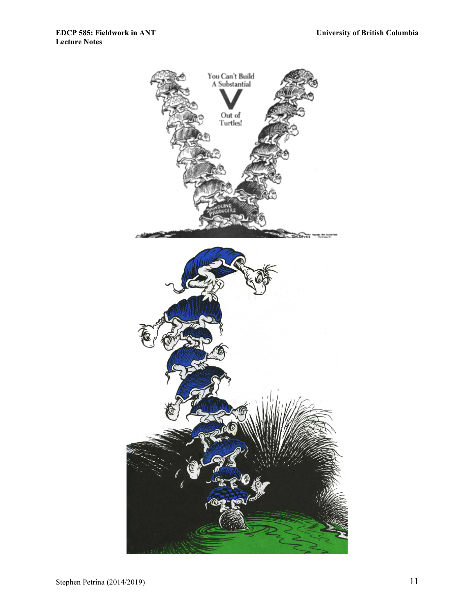